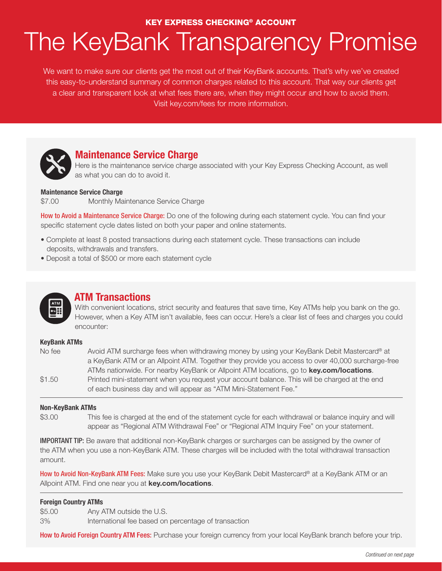## KEY EXPRESS CHECKING® ACCOUNT

# The KeyBank Transparency Promise

We want to make sure our clients get the most out of their KeyBank accounts. That's why we've created this easy-to-understand summary of common charges related to this account. That way our clients get a clear and transparent look at what fees there are, when they might occur and how to avoid them. Visit key.com/fees for more information.



## **Maintenance Service Charge**

Here is the maintenance service charge associated with your Key Express Checking Account, as well as what you can do to avoid it.

## **Maintenance Service Charge**

\$7.00 Monthly Maintenance Service Charge

How to Avoid a Maintenance Service Charge: Do one of the following during each statement cycle. You can find your specific statement cycle dates listed on both your paper and online statements.

- Complete at least 8 posted transactions during each statement cycle. These transactions can include deposits, withdrawals and transfers.
- Deposit a total of \$500 or more each statement cycle



## **ATM Transactions**

With convenient locations, strict security and features that save time, Key ATMs help you bank on the go. However, when a Key ATM isn't available, fees can occur. Here's a clear list of fees and charges you could encounter:

## **KeyBank ATMs**

| No fee | Avoid ATM surcharge fees when withdrawing money by using your KeyBank Debit Mastercard® at       |
|--------|--------------------------------------------------------------------------------------------------|
|        | a KeyBank ATM or an Allpoint ATM. Together they provide you access to over 40,000 surcharge-free |
|        | ATMs nationwide. For nearby KeyBank or Allpoint ATM locations, go to <b>key.com/locations</b> .  |
| \$1.50 | Printed mini-statement when you request your account balance. This will be charged at the end    |
|        | of each business day and will appear as "ATM Mini-Statement Fee."                                |

## **Non-KeyBank ATMs**

\$3.00 This fee is charged at the end of the statement cycle for each withdrawal or balance inquiry and will appear as "Regional ATM Withdrawal Fee" or "Regional ATM Inquiry Fee" on your statement.

IMPORTANT TIP: Be aware that additional non-KeyBank charges or surcharges can be assigned by the owner of the ATM when you use a non-KeyBank ATM. These charges will be included with the total withdrawal transaction amount.

How to Avoid Non-KeyBank ATM Fees: Make sure you use your KeyBank Debit Mastercard® at a KeyBank ATM or an Allpoint ATM. Find one near you at **key.com/locations**.

## **Foreign Country ATMs**

\$5.00 Any ATM outside the U.S.

3% International fee based on percentage of transaction

How to Avoid Foreign Country ATM Fees: Purchase your foreign currency from your local KeyBank branch before your trip.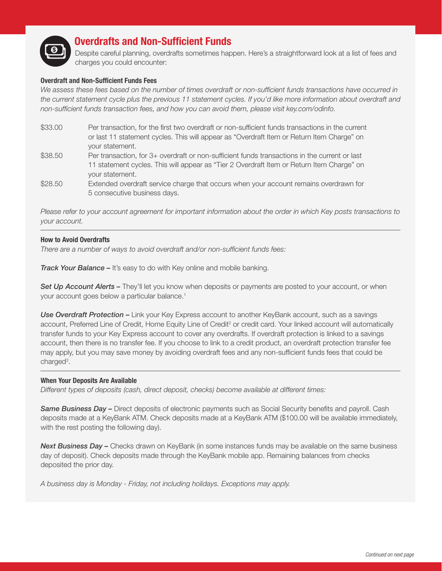

# **Overdrafts and Non-Sufficient Funds**

Despite careful planning, overdrafts sometimes happen. Here's a straightforward look at a list of fees and charges you could encounter:

## **Overdraft and Non-Sufficient Funds Fees**

We assess these fees based on the number of times overdraft or non-sufficient funds transactions have occurred in *the current statement cycle plus the previous 11 statement cycles. If you'd like more information about overdraft and non-sufficient funds transaction fees, and how you can avoid them, please visit key.com/odinfo.*

- \$33.00 Per transaction, for the first two overdraft or non-sufficient funds transactions in the current or last 11 statement cycles. This will appear as "Overdraft Item or Return Item Charge" on your statement.
- \$38.50 Per transaction, for 3+ overdraft or non-sufficient funds transactions in the current or last 11 statement cycles. This will appear as "Tier 2 Overdraft Item or Return Item Charge" on your statement.
- \$28.50 Extended overdraft service charge that occurs when your account remains overdrawn for 5 consecutive business days.

*Please refer to your account agreement for important information about the order in which Key posts transactions to your account.*

## **How to Avoid Overdrafts**

*There are a number of ways to avoid overdraft and/or non-sufficient funds fees:*

*Track Your Balance –* It's easy to do with Key online and mobile banking.

**Set Up Account Alerts –** They'll let you know when deposits or payments are posted to your account, or when your account goes below a particular balance.<sup>1</sup>

*Use Overdraft Protection –* Link your Key Express account to another KeyBank account, such as a savings account, Preferred Line of Credit, Home Equity Line of Credit<sup>2</sup> or credit card. Your linked account will automatically transfer funds to your Key Express account to cover any overdrafts. If overdraft protection is linked to a savings account, then there is no transfer fee. If you choose to link to a credit product, an overdraft protection transfer fee may apply, but you may save money by avoiding overdraft fees and any non-sufficient funds fees that could be charged<sup>3</sup>.

## **When Your Deposits Are Available**

*Different types of deposits (cash, direct deposit, checks) become available at different times:*

*Same Business Day –* Direct deposits of electronic payments such as Social Security benefits and payroll. Cash deposits made at a KeyBank ATM. Check deposits made at a KeyBank ATM (\$100.00 will be available immediately, with the rest posting the following day).

**Next Business Day –** Checks drawn on KeyBank (in some instances funds may be available on the same business day of deposit). Check deposits made through the KeyBank mobile app. Remaining balances from checks deposited the prior day.

*A business day is Monday - Friday, not including holidays. Exceptions may apply.*